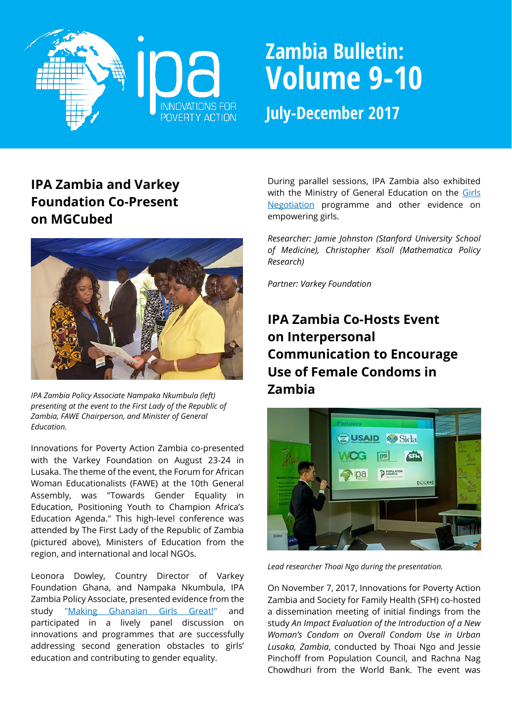

# **Zambia Bulletin: Volume 9-10**

**July-December 2017**

# **IPA Zambia and Varkey Foundation Co-Present on MGCubed**



*IPA Zambia Policy Associate Nampaka Nkumbula (left) presenting at the event to the First Lady of the Republic of Zambia, FAWE Chairperson, and Minister of General Education.*

Innovations for Poverty Action Zambia co-presented with the Varkey Foundation on August 23-24 in Lusaka. The theme of the event, the Forum for African Woman Educationalists (FAWE) at the 10th General Assembly, was "Towards Gender Equality in Education, Positioning Youth to Champion Africa's Education Agenda." This high-level conference was attended by The First Lady of the Republic of Zambia (pictured above), Ministers of Education from the region, and international and local NGOs.

Leonora Dowley, Country Director of Varkey Foundation Ghana, and Nampaka Nkumbula, IPA Zambia Policy Associate, presented evidence from the study ["Making Ghanaian Girls Great!"](http://www.poverty-action.org/study/satellite-transmitted-classes-reach-rural-students-ghana) and participated in a lively panel discussion on innovations and programmes that are successfully addressing second generation obstacles to girls' education and contributing to gender equality.

During parallel sessions, IPA Zambia also exhibited with the Ministry of General Education on the Girls [Negotiation](http://www.poverty-action.org/study/negotiating-better-future-impact-teaching-negotiation-skills-girls-health-and-educational) programme and other evidence on empowering girls.

*Researcher: Jamie Johnston (Stanford University School of Medicine), Christopher Ksoll (Mathematica Policy Research)*

*Partner: Varkey Foundation*

# **IPA Zambia Co-Hosts Event on Interpersonal Communication to Encourage Use of Female Condoms in Zambia**



*Lead researcher Thoai Ngo during the presentation.*

On November 7, 2017, Innovations for Poverty Action Zambia and Society for Family Health (SFH) co-hosted a dissemination meeting of initial findings from the study *An Impact Evaluation of the Introduction of a New Woman's Condom on Overall Condom Use in Urban Lusaka, Zambia*, conducted by Thoai Ngo and Jessie Pinchoff from Population Council, and Rachna Nag Chowdhuri from the World Bank. The event was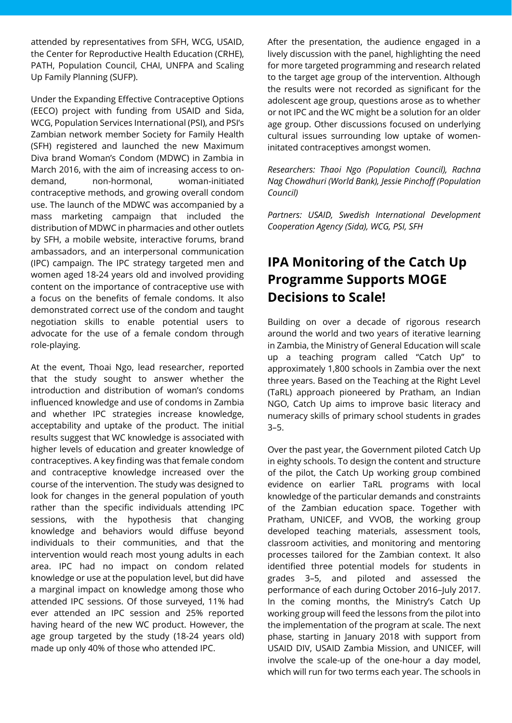attended by representatives from SFH, WCG, USAID, the Center for Reproductive Health Education (CRHE), PATH, Population Council, CHAI, UNFPA and Scaling Up Family Planning (SUFP).

Under the Expanding Effective Contraceptive Options (EECO) project with funding from USAID and Sida, WCG, Population Services International (PSI), and PSI's Zambian network member Society for Family Health (SFH) registered and launched the new Maximum Diva brand Woman's Condom (MDWC) in Zambia in March 2016, with the aim of increasing access to ondemand, non-hormonal, woman-initiated contraceptive methods, and growing overall condom use. The launch of the MDWC was accompanied by a mass marketing campaign that included the distribution of MDWC in pharmacies and other outlets by SFH, a mobile website, interactive forums, brand ambassadors, and an interpersonal communication (IPC) campaign. The IPC strategy targeted men and women aged 18-24 years old and involved providing content on the importance of contraceptive use with a focus on the benefits of female condoms. It also demonstrated correct use of the condom and taught negotiation skills to enable potential users to advocate for the use of a female condom through role-playing.

At the event, Thoai Ngo, lead researcher, reported that the study sought to answer whether the introduction and distribution of woman's condoms influenced knowledge and use of condoms in Zambia and whether IPC strategies increase knowledge, acceptability and uptake of the product. The initial results suggest that WC knowledge is associated with higher levels of education and greater knowledge of contraceptives. A key finding was that female condom and contraceptive knowledge increased over the course of the intervention. The study was designed to look for changes in the general population of youth rather than the specific individuals attending IPC sessions, with the hypothesis that changing knowledge and behaviors would diffuse beyond individuals to their communities, and that the intervention would reach most young adults in each area. IPC had no impact on condom related knowledge or use at the population level, but did have a marginal impact on knowledge among those who attended IPC sessions. Of those surveyed, 11% had ever attended an IPC session and 25% reported having heard of the new WC product. However, the age group targeted by the study (18-24 years old) made up only 40% of those who attended IPC.

After the presentation, the audience engaged in a lively discussion with the panel, highlighting the need for more targeted programming and research related to the target age group of the intervention. Although the results were not recorded as significant for the adolescent age group, questions arose as to whether or not IPC and the WC might be a solution for an older age group. Other discussions focused on underlying cultural issues surrounding low uptake of womeninitated contraceptives amongst women.

*Researchers: Thaoi Ngo (Population Council), Rachna Nag Chowdhuri (World Bank), Jessie Pinchoff (Population Council)*

*Partners: USAID, Swedish International Development Cooperation Agency (Sida), WCG, PSI, SFH*

# **IPA Monitoring of the Catch Up Programme Supports MOGE Decisions to Scale!**

Building on over a decade of rigorous research around the world and two years of iterative learning in Zambia, the Ministry of General Education will scale up a teaching program called "Catch Up" to approximately 1,800 schools in Zambia over the next three years. Based on the Teaching at the Right Level (TaRL) approach pioneered by Pratham, an Indian NGO, Catch Up aims to improve basic literacy and numeracy skills of primary school students in grades 3–5.

Over the past year, the Government piloted Catch Up in eighty schools. To design the content and structure of the pilot, the Catch Up working group combined evidence on earlier TaRL programs with local knowledge of the particular demands and constraints of the Zambian education space. Together with Pratham, UNICEF, and VVOB, the working group developed teaching materials, assessment tools, classroom activities, and monitoring and mentoring processes tailored for the Zambian context. It also identified three potential models for students in grades 3–5, and piloted and assessed the performance of each during October 2016-July 2017. In the coming months, the Ministry's Catch Up working group will feed the lessons from the pilot into the implementation of the program at scale. The next phase, starting in January 2018 with support from USAID DIV, USAID Zambia Mission, and UNICEF, will involve the scale-up of the one-hour a day model, which will run for two terms each year. The schools in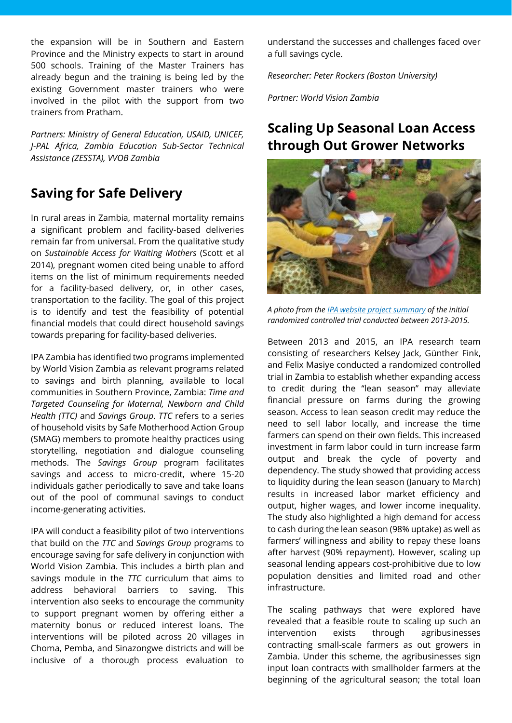the expansion will be in Southern and Eastern Province and the Ministry expects to start in around 500 schools. Training of the Master Trainers has already begun and the training is being led by the existing Government master trainers who were involved in the pilot with the support from two trainers from Pratham.

*Partners: Ministry of General Education, USAID, UNICEF, J-PAL Africa, Zambia Education Sub-Sector Technical Assistance (ZESSTA), VVOB Zambia*

## **Saving for Safe Delivery**

In rural areas in Zambia, maternal mortality remains a significant problem and facility-based deliveries remain far from universal. From the qualitative study on *Sustainable Access for Waiting Mothers* (Scott et al 2014), pregnant women cited being unable to afford items on the list of minimum requirements needed for a facility-based delivery, or, in other cases, transportation to the facility. The goal of this project is to identify and test the feasibility of potential financial models that could direct household savings towards preparing for facility-based deliveries.

IPA Zambia has identified two programs implemented by World Vision Zambia as relevant programs related to savings and birth planning, available to local communities in Southern Province, Zambia: *Time and Targeted Counseling for Maternal, Newborn and Child Health (TTC)* and *Savings Group*. *TTC* refers to a series of household visits by Safe Motherhood Action Group (SMAG) members to promote healthy practices using storytelling, negotiation and dialogue counseling methods. The *Savings Group* program facilitates savings and access to micro-credit, where 15-20 individuals gather periodically to save and take loans out of the pool of communal savings to conduct income-generating activities.

IPA will conduct a feasibility pilot of two interventions that build on the *TTC* and *Savings Group* programs to encourage saving for safe delivery in conjunction with World Vision Zambia. This includes a birth plan and savings module in the *TTC* curriculum that aims to address behavioral barriers to saving. This intervention also seeks to encourage the community to support pregnant women by offering either a maternity bonus or reduced interest loans. The interventions will be piloted across 20 villages in Choma, Pemba, and Sinazongwe districts and will be inclusive of a thorough process evaluation to understand the successes and challenges faced over a full savings cycle.

*Researcher: Peter Rockers (Boston University)*

*Partner: World Vision Zambia*

# **Scaling Up Seasonal Loan Access through Out Grower Networks**



*A photo from th[e IPA website project summary](https://www.poverty-action.org/study/impact-food-and-cash-loans-smallholder-farmers-zambia) of the initial randomized controlled trial conducted between 2013-2015.*

Between 2013 and 2015, an IPA research team consisting of researchers Kelsey Jack, Günther Fink, and Felix Masiye conducted a randomized controlled trial in Zambia to establish whether expanding access to credit during the "lean season" may alleviate financial pressure on farms during the growing season. Access to lean season credit may reduce the need to sell labor locally, and increase the time farmers can spend on their own fields. This increased investment in farm labor could in turn increase farm output and break the cycle of poverty and dependency. The study showed that providing access to liquidity during the lean season (January to March) results in increased labor market efficiency and output, higher wages, and lower income inequality. The study also highlighted a high demand for access to cash during the lean season (98% uptake) as well as farmers' willingness and ability to repay these loans after harvest (90% repayment). However, scaling up seasonal lending appears cost-prohibitive due to low population densities and limited road and other infrastructure.

The scaling pathways that were explored have revealed that a feasible route to scaling up such an intervention exists through agribusinesses contracting small-scale farmers as out growers in Zambia. Under this scheme, the agribusinesses sign input loan contracts with smallholder farmers at the beginning of the agricultural season; the total loan